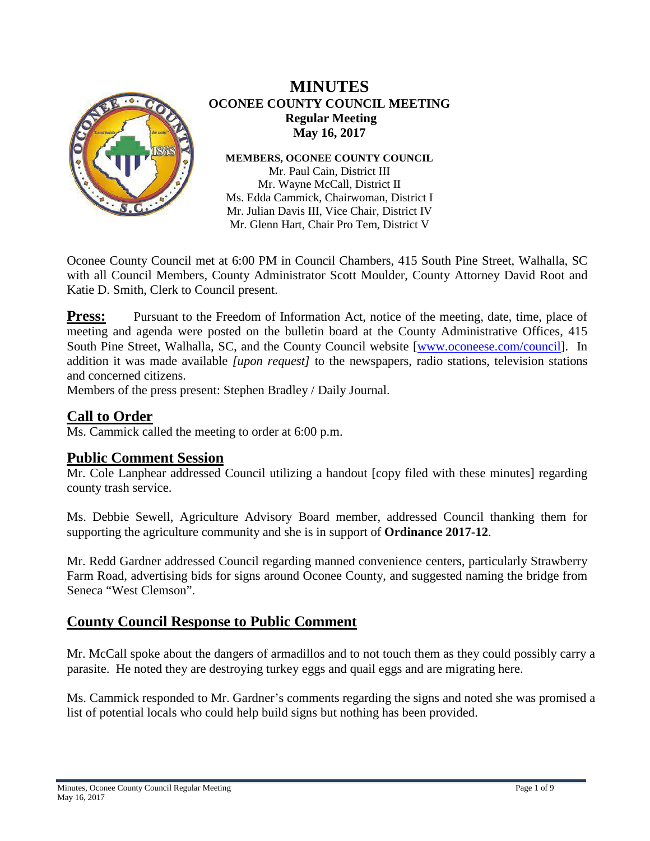

## **MINUTES OCONEE COUNTY COUNCIL MEETING Regular Meeting May 16, 2017**

**MEMBERS, OCONEE COUNTY COUNCIL**

Mr. Paul Cain, District III Mr. Wayne McCall, District II Ms. Edda Cammick, Chairwoman, District I Mr. Julian Davis III, Vice Chair, District IV Mr. Glenn Hart, Chair Pro Tem, District V

Oconee County Council met at 6:00 PM in Council Chambers, 415 South Pine Street, Walhalla, SC with all Council Members, County Administrator Scott Moulder, County Attorney David Root and Katie D. Smith, Clerk to Council present.

**Press:** Pursuant to the Freedom of Information Act, notice of the meeting, date, time, place of meeting and agenda were posted on the bulletin board at the County Administrative Offices, 415 South Pine Street, Walhalla, SC, and the County Council website [\[www.oconeese.com/council\]](http://www.oconeese.com/council). In addition it was made available *[upon request]* to the newspapers, radio stations, television stations and concerned citizens.

Members of the press present: Stephen Bradley / Daily Journal.

# **Call to Order**

Ms. Cammick called the meeting to order at 6:00 p.m.

**Public Comment Session**<br>Mr. Cole Lanphear addressed Council utilizing a handout [copy filed with these minutes] regarding county trash service.

Ms. Debbie Sewell, Agriculture Advisory Board member, addressed Council thanking them for supporting the agriculture community and she is in support of **Ordinance 2017-12**.

Mr. Redd Gardner addressed Council regarding manned convenience centers, particularly Strawberry Farm Road, advertising bids for signs around Oconee County, and suggested naming the bridge from Seneca "West Clemson".

# **County Council Response to Public Comment**

Mr. McCall spoke about the dangers of armadillos and to not touch them as they could possibly carry a parasite. He noted they are destroying turkey eggs and quail eggs and are migrating here.

Ms. Cammick responded to Mr. Gardner's comments regarding the signs and noted she was promised a list of potential locals who could help build signs but nothing has been provided.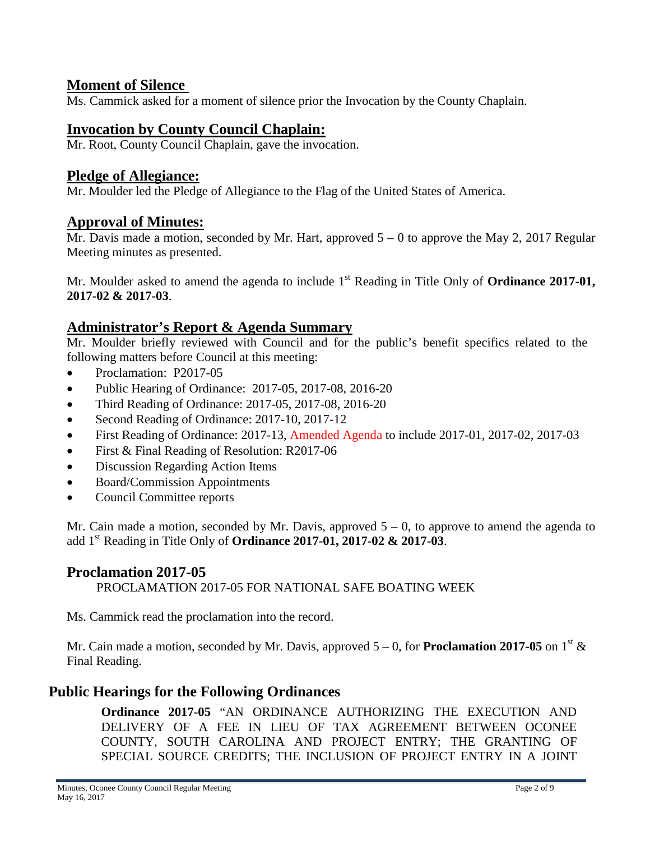## **Moment of Silence**

Ms. Cammick asked for a moment of silence prior the Invocation by the County Chaplain.

## **Invocation by County Council Chaplain:**

Mr. Root, County Council Chaplain, gave the invocation.

#### **Pledge of Allegiance:**

Mr. Moulder led the Pledge of Allegiance to the Flag of the United States of America.

### **Approval of Minutes:**

Mr. Davis made a motion, seconded by Mr. Hart, approved 5 – 0 to approve the May 2, 2017 Regular Meeting minutes as presented.

Mr. Moulder asked to amend the agenda to include 1<sup>st</sup> Reading in Title Only of **Ordinance 2017-01, 2017-02 & 2017-03**.

### **Administrator's Report & Agenda Summary**

Mr. Moulder briefly reviewed with Council and for the public's benefit specifics related to the following matters before Council at this meeting:

- Proclamation: P2017-05
- Public Hearing of Ordinance: 2017-05, 2017-08, 2016-20
- Third Reading of Ordinance: 2017-05, 2017-08, 2016-20
- Second Reading of Ordinance: 2017-10, 2017-12
- First Reading of Ordinance: 2017-13, Amended Agenda to include 2017-01, 2017-02, 2017-03
- First & Final Reading of Resolution: R2017-06
- Discussion Regarding Action Items
- Board/Commission Appointments
- Council Committee reports

Mr. Cain made a motion, seconded by Mr. Davis, approved  $5 - 0$ , to approve to amend the agenda to add 1st Reading in Title Only of **Ordinance 2017-01, 2017-02 & 2017-03**.

### **Proclamation 2017-05**

PROCLAMATION 2017-05 FOR NATIONAL SAFE BOATING WEEK

Ms. Cammick read the proclamation into the record.

Mr. Cain made a motion, seconded by Mr. Davis, approved  $5-0$ , for **Proclamation 2017-05** on 1<sup>st</sup> & Final Reading.

### **Public Hearings for the Following Ordinances**

**Ordinance 2017-05** "AN ORDINANCE AUTHORIZING THE EXECUTION AND DELIVERY OF A FEE IN LIEU OF TAX AGREEMENT BETWEEN OCONEE COUNTY, SOUTH CAROLINA AND PROJECT ENTRY; THE GRANTING OF SPECIAL SOURCE CREDITS; THE INCLUSION OF PROJECT ENTRY IN A JOINT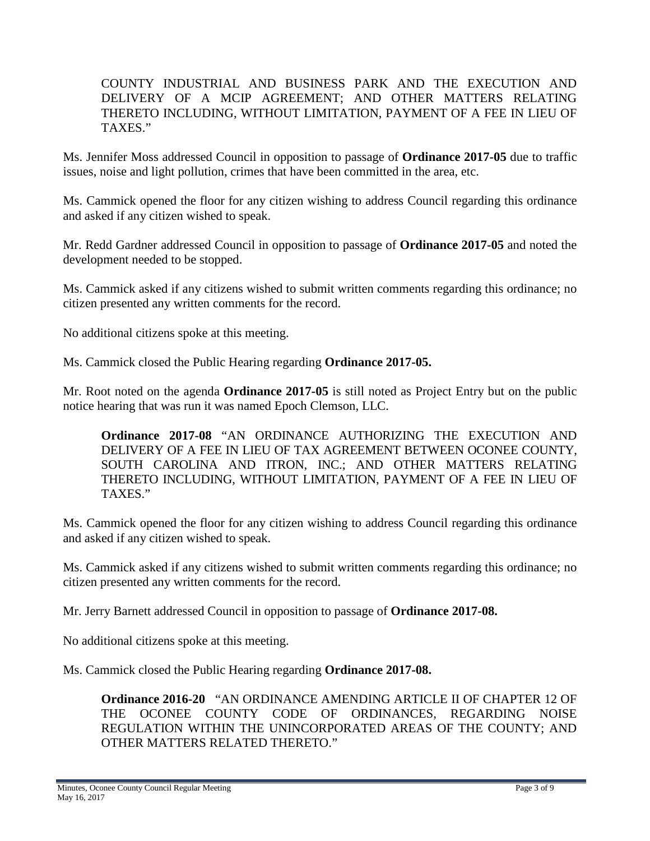COUNTY INDUSTRIAL AND BUSINESS PARK AND THE EXECUTION AND DELIVERY OF A MCIP AGREEMENT; AND OTHER MATTERS RELATING THERETO INCLUDING, WITHOUT LIMITATION, PAYMENT OF A FEE IN LIEU OF TAXES."

Ms. Jennifer Moss addressed Council in opposition to passage of **Ordinance 2017-05** due to traffic issues, noise and light pollution, crimes that have been committed in the area, etc.

Ms. Cammick opened the floor for any citizen wishing to address Council regarding this ordinance and asked if any citizen wished to speak.

Mr. Redd Gardner addressed Council in opposition to passage of **Ordinance 2017-05** and noted the development needed to be stopped.

Ms. Cammick asked if any citizens wished to submit written comments regarding this ordinance; no citizen presented any written comments for the record.

No additional citizens spoke at this meeting.

Ms. Cammick closed the Public Hearing regarding **Ordinance 2017-05.**

Mr. Root noted on the agenda **Ordinance 2017-05** is still noted as Project Entry but on the public notice hearing that was run it was named Epoch Clemson, LLC.

**Ordinance 2017-08** "AN ORDINANCE AUTHORIZING THE EXECUTION AND DELIVERY OF A FEE IN LIEU OF TAX AGREEMENT BETWEEN OCONEE COUNTY, SOUTH CAROLINA AND ITRON, INC.; AND OTHER MATTERS RELATING THERETO INCLUDING, WITHOUT LIMITATION, PAYMENT OF A FEE IN LIEU OF TAXES."

Ms. Cammick opened the floor for any citizen wishing to address Council regarding this ordinance and asked if any citizen wished to speak.

Ms. Cammick asked if any citizens wished to submit written comments regarding this ordinance; no citizen presented any written comments for the record.

Mr. Jerry Barnett addressed Council in opposition to passage of **Ordinance 2017-08.**

No additional citizens spoke at this meeting.

Ms. Cammick closed the Public Hearing regarding **Ordinance 2017-08.**

**Ordinance 2016-20** "AN ORDINANCE AMENDING ARTICLE II OF CHAPTER 12 OF THE OCONEE COUNTY CODE OF ORDINANCES, REGARDING NOISE REGULATION WITHIN THE UNINCORPORATED AREAS OF THE COUNTY; AND OTHER MATTERS RELATED THERETO."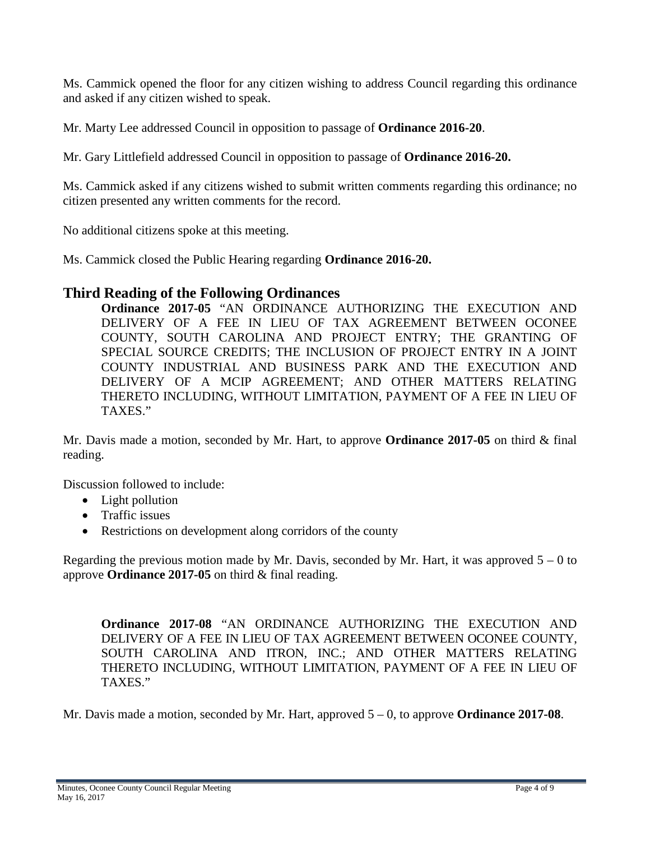Ms. Cammick opened the floor for any citizen wishing to address Council regarding this ordinance and asked if any citizen wished to speak.

Mr. Marty Lee addressed Council in opposition to passage of **Ordinance 2016-20**.

Mr. Gary Littlefield addressed Council in opposition to passage of **Ordinance 2016-20.**

Ms. Cammick asked if any citizens wished to submit written comments regarding this ordinance; no citizen presented any written comments for the record.

No additional citizens spoke at this meeting.

Ms. Cammick closed the Public Hearing regarding **Ordinance 2016-20.**

## **Third Reading of the Following Ordinances**

**Ordinance 2017-05** "AN ORDINANCE AUTHORIZING THE EXECUTION AND DELIVERY OF A FEE IN LIEU OF TAX AGREEMENT BETWEEN OCONEE COUNTY, SOUTH CAROLINA AND PROJECT ENTRY; THE GRANTING OF SPECIAL SOURCE CREDITS; THE INCLUSION OF PROJECT ENTRY IN A JOINT COUNTY INDUSTRIAL AND BUSINESS PARK AND THE EXECUTION AND DELIVERY OF A MCIP AGREEMENT; AND OTHER MATTERS RELATING THERETO INCLUDING, WITHOUT LIMITATION, PAYMENT OF A FEE IN LIEU OF TAXES."

Mr. Davis made a motion, seconded by Mr. Hart, to approve **Ordinance 2017-05** on third & final reading.

Discussion followed to include:

- Light pollution
- Traffic issues
- Restrictions on development along corridors of the county

Regarding the previous motion made by Mr. Davis, seconded by Mr. Hart, it was approved  $5 - 0$  to approve **Ordinance 2017-05** on third & final reading.

**Ordinance 2017-08** "AN ORDINANCE AUTHORIZING THE EXECUTION AND DELIVERY OF A FEE IN LIEU OF TAX AGREEMENT BETWEEN OCONEE COUNTY, SOUTH CAROLINA AND ITRON, INC.; AND OTHER MATTERS RELATING THERETO INCLUDING, WITHOUT LIMITATION, PAYMENT OF A FEE IN LIEU OF TAXES."

Mr. Davis made a motion, seconded by Mr. Hart, approved 5 – 0, to approve **Ordinance 2017-08**.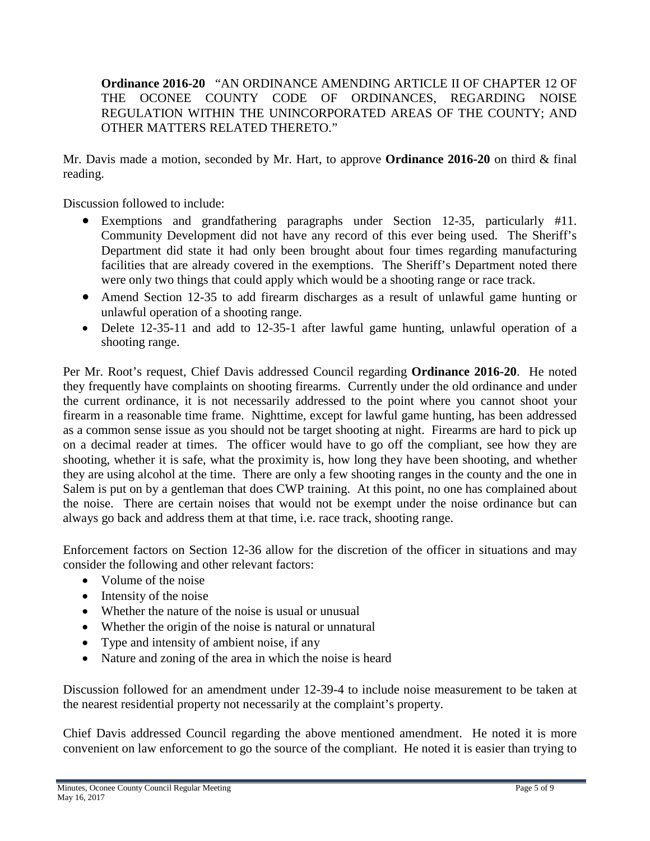#### **Ordinance 2016-20** "AN ORDINANCE AMENDING ARTICLE II OF CHAPTER 12 OF THE OCONEE COUNTY CODE OF ORDINANCES, REGARDING NOISE REGULATION WITHIN THE UNINCORPORATED AREAS OF THE COUNTY; AND OTHER MATTERS RELATED THERETO."

Mr. Davis made a motion, seconded by Mr. Hart, to approve **Ordinance 2016-20** on third & final reading.

Discussion followed to include:

- Exemptions and grandfathering paragraphs under Section 12-35, particularly #11. Community Development did not have any record of this ever being used. The Sheriff's Department did state it had only been brought about four times regarding manufacturing facilities that are already covered in the exemptions. The Sheriff's Department noted there were only two things that could apply which would be a shooting range or race track.
- Amend Section 12-35 to add firearm discharges as a result of unlawful game hunting or unlawful operation of a shooting range.
- Delete 12-35-11 and add to 12-35-1 after lawful game hunting, unlawful operation of a shooting range.

Per Mr. Root's request, Chief Davis addressed Council regarding **Ordinance 2016-20**. He noted they frequently have complaints on shooting firearms. Currently under the old ordinance and under the current ordinance, it is not necessarily addressed to the point where you cannot shoot your firearm in a reasonable time frame. Nighttime, except for lawful game hunting, has been addressed as a common sense issue as you should not be target shooting at night. Firearms are hard to pick up on a decimal reader at times. The officer would have to go off the compliant, see how they are shooting, whether it is safe, what the proximity is, how long they have been shooting, and whether they are using alcohol at the time. There are only a few shooting ranges in the county and the one in Salem is put on by a gentleman that does CWP training. At this point, no one has complained about the noise. There are certain noises that would not be exempt under the noise ordinance but can always go back and address them at that time, i.e. race track, shooting range.

Enforcement factors on Section 12-36 allow for the discretion of the officer in situations and may consider the following and other relevant factors:

- Volume of the noise
- Intensity of the noise
- Whether the nature of the noise is usual or unusual
- Whether the origin of the noise is natural or unnatural
- Type and intensity of ambient noise, if any
- Nature and zoning of the area in which the noise is heard

Discussion followed for an amendment under 12-39-4 to include noise measurement to be taken at the nearest residential property not necessarily at the complaint's property.

Chief Davis addressed Council regarding the above mentioned amendment. He noted it is more convenient on law enforcement to go the source of the compliant. He noted it is easier than trying to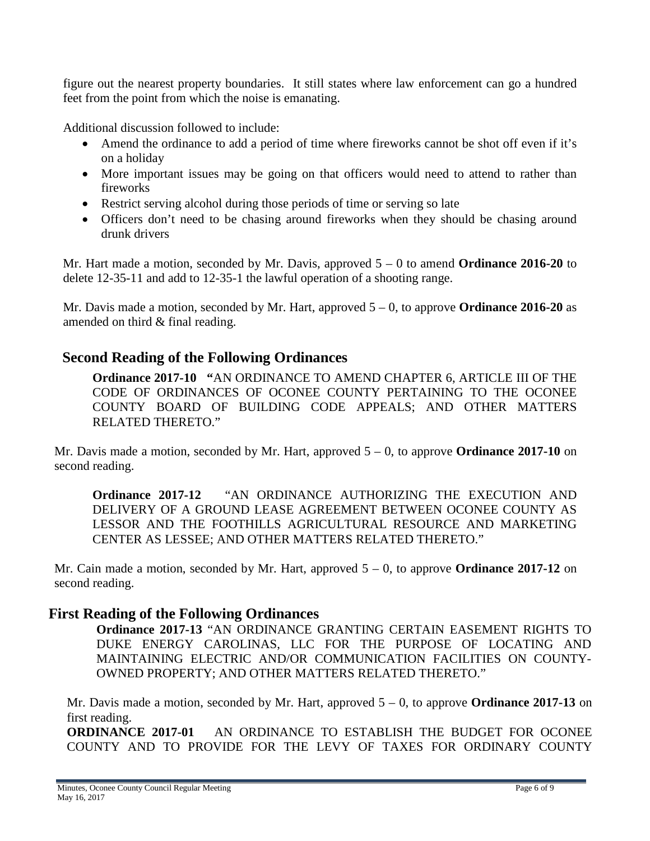figure out the nearest property boundaries. It still states where law enforcement can go a hundred feet from the point from which the noise is emanating.

Additional discussion followed to include:

- Amend the ordinance to add a period of time where fireworks cannot be shot off even if it's on a holiday
- More important issues may be going on that officers would need to attend to rather than fireworks
- Restrict serving alcohol during those periods of time or serving so late
- Officers don't need to be chasing around fireworks when they should be chasing around drunk drivers

Mr. Hart made a motion, seconded by Mr. Davis, approved 5 – 0 to amend **Ordinance 2016-20** to delete 12-35-11 and add to 12-35-1 the lawful operation of a shooting range.

Mr. Davis made a motion, seconded by Mr. Hart, approved 5 – 0, to approve **Ordinance 2016-20** as amended on third & final reading.

## **Second Reading of the Following Ordinances**

**Ordinance 2017-10 "**AN ORDINANCE TO AMEND CHAPTER 6, ARTICLE III OF THE CODE OF ORDINANCES OF OCONEE COUNTY PERTAINING TO THE OCONEE COUNTY BOARD OF BUILDING CODE APPEALS; AND OTHER MATTERS RELATED THERETO."

Mr. Davis made a motion, seconded by Mr. Hart, approved 5 – 0, to approve **Ordinance 2017-10** on second reading.

**Ordinance 2017-12** "AN ORDINANCE AUTHORIZING THE EXECUTION AND DELIVERY OF A GROUND LEASE AGREEMENT BETWEEN OCONEE COUNTY AS LESSOR AND THE FOOTHILLS AGRICULTURAL RESOURCE AND MARKETING CENTER AS LESSEE; AND OTHER MATTERS RELATED THERETO."

Mr. Cain made a motion, seconded by Mr. Hart, approved 5 – 0, to approve **Ordinance 2017-12** on second reading.

### **First Reading of the Following Ordinances**

**Ordinance 2017-13** "AN ORDINANCE GRANTING CERTAIN EASEMENT RIGHTS TO DUKE ENERGY CAROLINAS, LLC FOR THE PURPOSE OF LOCATING AND MAINTAINING ELECTRIC AND/OR COMMUNICATION FACILITIES ON COUNTY-OWNED PROPERTY; AND OTHER MATTERS RELATED THERETO."

Mr. Davis made a motion, seconded by Mr. Hart, approved 5 – 0, to approve **Ordinance 2017-13** on first reading.

**ORDINANCE 2017-01** AN ORDINANCE TO ESTABLISH THE BUDGET FOR OCONEE COUNTY AND TO PROVIDE FOR THE LEVY OF TAXES FOR ORDINARY COUNTY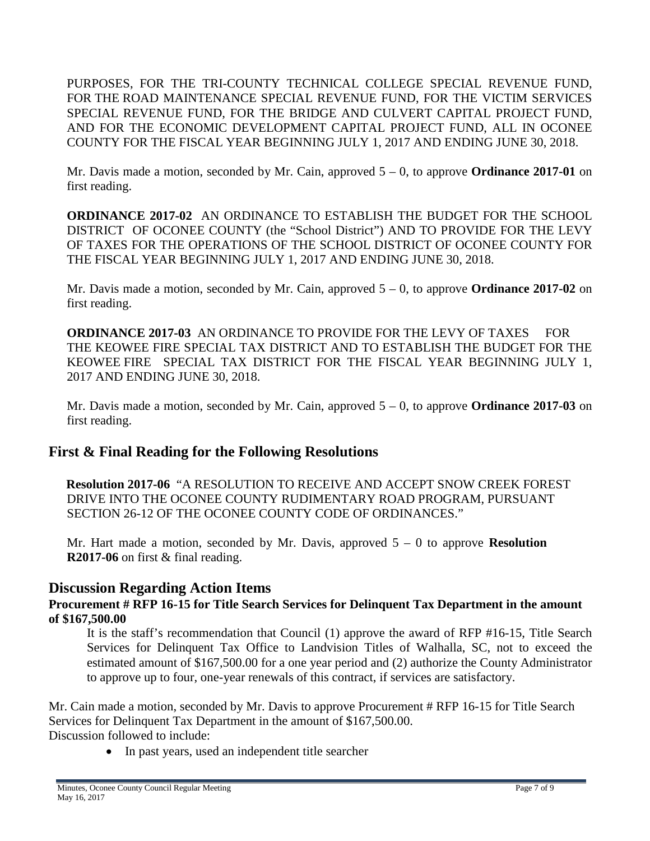PURPOSES, FOR THE TRI-COUNTY TECHNICAL COLLEGE SPECIAL REVENUE FUND, FOR THE ROAD MAINTENANCE SPECIAL REVENUE FUND, FOR THE VICTIM SERVICES SPECIAL REVENUE FUND, FOR THE BRIDGE AND CULVERT CAPITAL PROJECT FUND, AND FOR THE ECONOMIC DEVELOPMENT CAPITAL PROJECT FUND, ALL IN OCONEE COUNTY FOR THE FISCAL YEAR BEGINNING JULY 1, 2017 AND ENDING JUNE 30, 2018.

Mr. Davis made a motion, seconded by Mr. Cain, approved 5 – 0, to approve **Ordinance 2017-01** on first reading.

**ORDINANCE 2017-02** AN ORDINANCE TO ESTABLISH THE BUDGET FOR THE SCHOOL DISTRICT OF OCONEE COUNTY (the "School District") AND TO PROVIDE FOR THE LEVY OF TAXES FOR THE OPERATIONS OF THE SCHOOL DISTRICT OF OCONEE COUNTY FOR THE FISCAL YEAR BEGINNING JULY 1, 2017 AND ENDING JUNE 30, 2018.

Mr. Davis made a motion, seconded by Mr. Cain, approved 5 – 0, to approve **Ordinance 2017-02** on first reading.

**ORDINANCE 2017-03** AN ORDINANCE TO PROVIDE FOR THE LEVY OF TAXES FOR THE KEOWEE FIRE SPECIAL TAX DISTRICT AND TO ESTABLISH THE BUDGET FOR THE KEOWEE FIRE SPECIAL TAX DISTRICT FOR THE FISCAL YEAR BEGINNING JULY 1, 2017 AND ENDING JUNE 30, 2018.

Mr. Davis made a motion, seconded by Mr. Cain, approved 5 – 0, to approve **Ordinance 2017-03** on first reading.

# **First & Final Reading for the Following Resolutions**

 **Resolution 2017-06** "A RESOLUTION TO RECEIVE AND ACCEPT SNOW CREEK FOREST DRIVE INTO THE OCONEE COUNTY RUDIMENTARY ROAD PROGRAM, PURSUANT SECTION 26-12 OF THE OCONEE COUNTY CODE OF ORDINANCES."

Mr. Hart made a motion, seconded by Mr. Davis, approved 5 – 0 to approve **Resolution R2017-06** on first & final reading.

## **Discussion Regarding Action Items**

**Procurement # RFP 16-15 for Title Search Services for Delinquent Tax Department in the amount of \$167,500.00**

It is the staff's recommendation that Council (1) approve the award of RFP #16-15, Title Search Services for Delinquent Tax Office to Landvision Titles of Walhalla, SC, not to exceed the estimated amount of \$167,500.00 for a one year period and (2) authorize the County Administrator to approve up to four, one-year renewals of this contract, if services are satisfactory.

Mr. Cain made a motion, seconded by Mr. Davis to approve Procurement # RFP 16-15 for Title Search Services for Delinquent Tax Department in the amount of \$167,500.00. Discussion followed to include:

• In past years, used an independent title searcher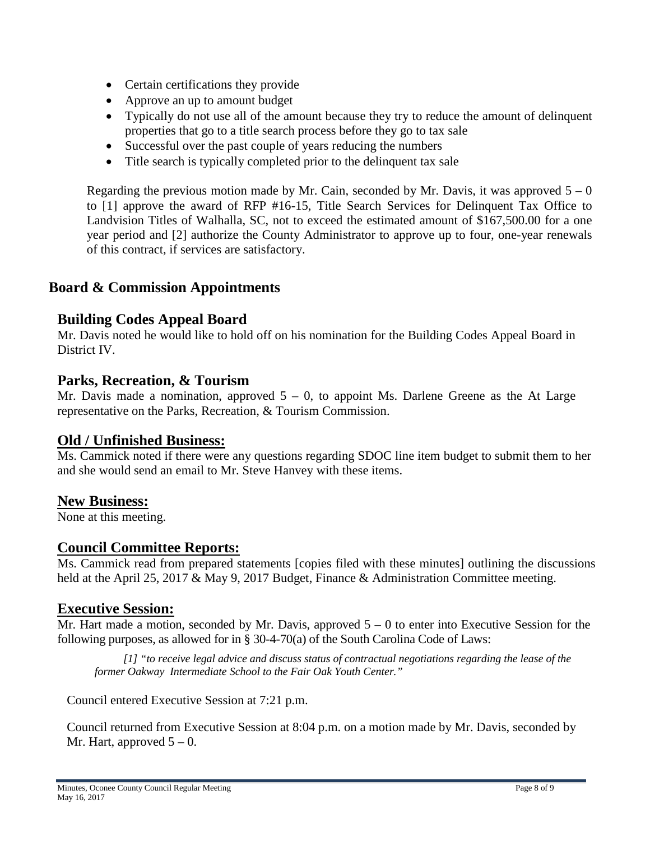- Certain certifications they provide
- Approve an up to amount budget
- Typically do not use all of the amount because they try to reduce the amount of delinquent properties that go to a title search process before they go to tax sale
- Successful over the past couple of years reducing the numbers
- Title search is typically completed prior to the delinquent tax sale

Regarding the previous motion made by Mr. Cain, seconded by Mr. Davis, it was approved  $5 - 0$ to [1] approve the award of RFP #16-15, Title Search Services for Delinquent Tax Office to Landvision Titles of Walhalla, SC, not to exceed the estimated amount of \$167,500.00 for a one year period and [2] authorize the County Administrator to approve up to four, one-year renewals of this contract, if services are satisfactory.

# **Board & Commission Appointments**

# **Building Codes Appeal Board**

Mr. Davis noted he would like to hold off on his nomination for the Building Codes Appeal Board in District IV.

## **Parks, Recreation, & Tourism**

Mr. Davis made a nomination, approved  $5 - 0$ , to appoint Ms. Darlene Greene as the At Large representative on the Parks, Recreation, & Tourism Commission.

# **Old / Unfinished Business:**

Ms. Cammick noted if there were any questions regarding SDOC line item budget to submit them to her and she would send an email to Mr. Steve Hanvey with these items.

**New Business:**<br>None at this meeting.

## **Council Committee Reports:**

Ms. Cammick read from prepared statements [copies filed with these minutes] outlining the discussions held at the April 25, 2017 & May 9, 2017 Budget, Finance & Administration Committee meeting.

## **Executive Session:**

Mr. Hart made a motion, seconded by Mr. Davis, approved  $5 - 0$  to enter into Executive Session for the following purposes, as allowed for in § 30-4-70(a) of the South Carolina Code of Laws:

 *[1] "to receive legal advice and discuss status of contractual negotiations regarding the lease of the former Oakway Intermediate School to the Fair Oak Youth Center."*

Council entered Executive Session at 7:21 p.m.

Council returned from Executive Session at 8:04 p.m. on a motion made by Mr. Davis, seconded by Mr. Hart, approved  $5 - 0$ .